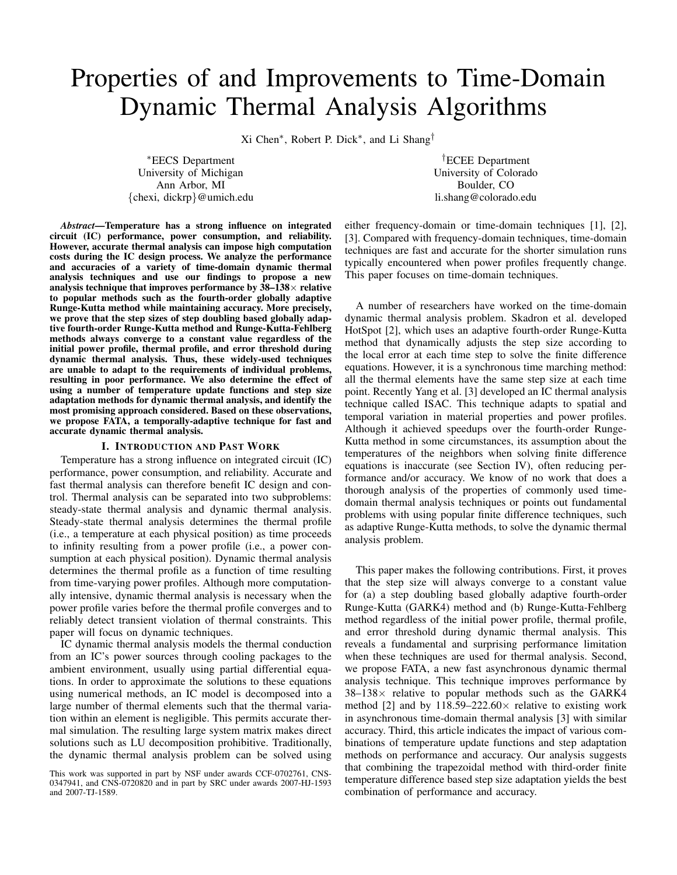# Properties of and Improvements to Time-Domain Dynamic Thermal Analysis Algorithms

Xi Chen<sup>∗</sup> , Robert P. Dick<sup>∗</sup> , and Li Shang†

<sup>∗</sup>EECS Department University of Michigan Ann Arbor, MI {chexi, dickrp}@umich.edu

†ECEE Department University of Colorado Boulder, CO li.shang@colorado.edu

*Abstract*—Temperature has a strong influence on integrated circuit (IC) performance, power consumption, and reliability. However, accurate thermal analysis can impose high computation costs during the IC design process. We analyze the performance and accuracies of a variety of time-domain dynamic thermal analysis techniques and use our findings to propose a new analysis technique that improves performance by  $38-138\times$  relative to popular methods such as the fourth-order globally adaptive Runge-Kutta method while maintaining accuracy. More precisely, we prove that the step sizes of step doubling based globally adaptive fourth-order Runge-Kutta method and Runge-Kutta-Fehlberg methods always converge to a constant value regardless of the initial power profile, thermal profile, and error threshold during dynamic thermal analysis. Thus, these widely-used techniques are unable to adapt to the requirements of individual problems, resulting in poor performance. We also determine the effect of using a number of temperature update functions and step size adaptation methods for dynamic thermal analysis, and identify the most promising approach considered. Based on these observations, we propose FATA, a temporally-adaptive technique for fast and accurate dynamic thermal analysis.

### I. INTRODUCTION AND PAST WORK

Temperature has a strong influence on integrated circuit (IC) performance, power consumption, and reliability. Accurate and fast thermal analysis can therefore benefit IC design and control. Thermal analysis can be separated into two subproblems: steady-state thermal analysis and dynamic thermal analysis. Steady-state thermal analysis determines the thermal profile (i.e., a temperature at each physical position) as time proceeds to infinity resulting from a power profile (i.e., a power consumption at each physical position). Dynamic thermal analysis determines the thermal profile as a function of time resulting from time-varying power profiles. Although more computationally intensive, dynamic thermal analysis is necessary when the power profile varies before the thermal profile converges and to reliably detect transient violation of thermal constraints. This paper will focus on dynamic techniques.

IC dynamic thermal analysis models the thermal conduction from an IC's power sources through cooling packages to the ambient environment, usually using partial differential equations. In order to approximate the solutions to these equations using numerical methods, an IC model is decomposed into a large number of thermal elements such that the thermal variation within an element is negligible. This permits accurate thermal simulation. The resulting large system matrix makes direct solutions such as LU decomposition prohibitive. Traditionally, the dynamic thermal analysis problem can be solved using

either frequency-domain or time-domain techniques [1], [2], [3]. Compared with frequency-domain techniques, time-domain techniques are fast and accurate for the shorter simulation runs typically encountered when power profiles frequently change. This paper focuses on time-domain techniques.

A number of researchers have worked on the time-domain dynamic thermal analysis problem. Skadron et al. developed HotSpot [2], which uses an adaptive fourth-order Runge-Kutta method that dynamically adjusts the step size according to the local error at each time step to solve the finite difference equations. However, it is a synchronous time marching method: all the thermal elements have the same step size at each time point. Recently Yang et al. [3] developed an IC thermal analysis technique called ISAC. This technique adapts to spatial and temporal variation in material properties and power profiles. Although it achieved speedups over the fourth-order Runge-Kutta method in some circumstances, its assumption about the temperatures of the neighbors when solving finite difference equations is inaccurate (see Section IV), often reducing performance and/or accuracy. We know of no work that does a thorough analysis of the properties of commonly used timedomain thermal analysis techniques or points out fundamental problems with using popular finite difference techniques, such as adaptive Runge-Kutta methods, to solve the dynamic thermal analysis problem.

This paper makes the following contributions. First, it proves that the step size will always converge to a constant value for (a) a step doubling based globally adaptive fourth-order Runge-Kutta (GARK4) method and (b) Runge-Kutta-Fehlberg method regardless of the initial power profile, thermal profile, and error threshold during dynamic thermal analysis. This reveals a fundamental and surprising performance limitation when these techniques are used for thermal analysis. Second, we propose FATA, a new fast asynchronous dynamic thermal analysis technique. This technique improves performance by  $38-138\times$  relative to popular methods such as the GARK4 method [2] and by  $118.59 - 222.60 \times$  relative to existing work in asynchronous time-domain thermal analysis [3] with similar accuracy. Third, this article indicates the impact of various combinations of temperature update functions and step adaptation methods on performance and accuracy. Our analysis suggests that combining the trapezoidal method with third-order finite temperature difference based step size adaptation yields the best combination of performance and accuracy.

This work was supported in part by NSF under awards CCF-0702761, CNS-0347941, and CNS-0720820 and in part by SRC under awards 2007-HJ-1593 and 2007-TJ-1589.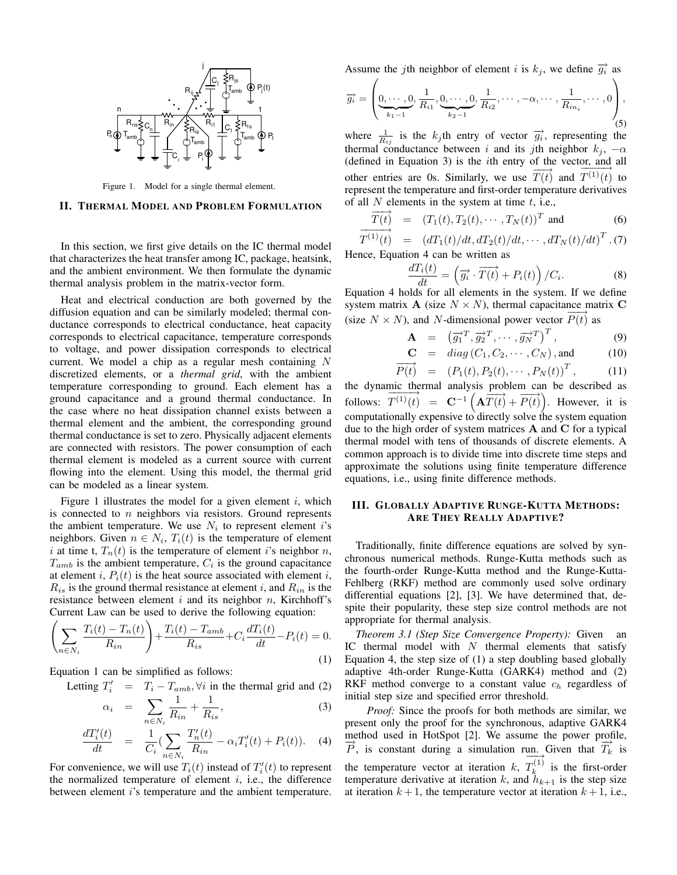

Figure 1. Model for a single thermal element.

#### II. THERMAL MODEL AND PROBLEM FORMULATION

In this section, we first give details on the IC thermal model that characterizes the heat transfer among IC, package, heatsink, and the ambient environment. We then formulate the dynamic thermal analysis problem in the matrix-vector form.

Heat and electrical conduction are both governed by the diffusion equation and can be similarly modeled; thermal conductance corresponds to electrical conductance, heat capacity corresponds to electrical capacitance, temperature corresponds to voltage, and power dissipation corresponds to electrical current. We model a chip as a regular mesh containing  $N$ discretized elements, or a *thermal grid*, with the ambient temperature corresponding to ground. Each element has a ground capacitance and a ground thermal conductance. In the case where no heat dissipation channel exists between a thermal element and the ambient, the corresponding ground thermal conductance is set to zero. Physically adjacent elements are connected with resistors. The power consumption of each thermal element is modeled as a current source with current flowing into the element. Using this model, the thermal grid can be modeled as a linear system.

Figure 1 illustrates the model for a given element  $i$ , which is connected to  $n$  neighbors via resistors. Ground represents the ambient temperature. We use  $N_i$  to represent element i's neighbors. Given  $n \in N_i$ ,  $T_i(t)$  is the temperature of element i at time t,  $T_n(t)$  is the temperature of element i's neighbor n,  $T_{amb}$  is the ambient temperature,  $C_i$  is the ground capacitance at element i,  $P_i(t)$  is the heat source associated with element i,  $R_{is}$  is the ground thermal resistance at element i, and  $R_{in}$  is the resistance between element  $i$  and its neighbor  $n$ , Kirchhoff's Current Law can be used to derive the following equation:

$$
\left(\sum_{n \in N_i} \frac{T_i(t) - T_n(t)}{R_{in}}\right) + \frac{T_i(t) - T_{amb}}{R_{is}} + C_i \frac{dT_i(t)}{dt} - P_i(t) = 0.
$$
\n(1)

Equation 1 can be simplified as follows:

Letting  $T'_i = T_i - T_{amb}$ ,  $\forall i$  in the thermal grid and (2)

$$
\alpha_i = \sum_{n \in N_i} \frac{1}{R_{in}} + \frac{1}{R_{is}},\tag{3}
$$

$$
\frac{dT_i'(t)}{dt} = \frac{1}{C_i} \left( \sum_{n \in N_i} \frac{T_n'(t)}{R_{in}} - \alpha_i T_i'(t) + P_i(t) \right). \tag{4}
$$

For convenience, we will use  $T_i(t)$  instead of  $T_i'(t)$  to represent the normalized temperature of element  $i$ , i.e., the difference between element i's temperature and the ambient temperature.

Assume the jth neighbor of element i is  $k_j$ , we define  $\overrightarrow{g_i}$  as

$$
\overrightarrow{g_i} = \left(\underbrace{0, \cdots, 0}_{k_1-1}, \underbrace{1, \cdots, 0}_{k_2-1}, \underbrace{1, \cdots, -\alpha, \cdots, \frac{1}{R_{in_i}}}_{(5)}, \cdots, 0\right),
$$

where  $\frac{1}{R_{ij}}$  is the  $k_j$ th entry of vector  $\overrightarrow{g_i}$ , representing the thermal conductance between i and its jth neighbor  $k_j$ ,  $-\alpha$ (defined in Equation 3) is the ith entry of the vector, and all other entries are 0s. Similarly, we use  $\overline{T(t)}$  and  $\overline{T^{(1)}(t)}$  $T^{(1)}(t)$  to represent the temperature and first-order temperature derivatives of all  $N$  elements in the system at time  $t$ , i.e.,

$$
\overrightarrow{T(t)} = (T_1(t), T_2(t), \cdots, T_N(t))^T
$$
 and (6)

$$
T^{(1)}(t) = (dT_1(t)/dt, dT_2(t)/dt, \cdots, dT_N(t)/dt)^T
$$
 (7)  
ence, Equation 4 can be written as

Hence, Equation 4 can be written as

$$
\frac{dT_i(t)}{dt} = \left(\overrightarrow{g_i} \cdot \overrightarrow{T(t)} + P_i(t)\right) / C_i.
$$
\n(8)

Equation 4 holds for all elements in the system. If we define system matrix **A** (size  $N \times N$ ), thermal capacitance matrix **C** (size  $N \times N$ ), and N-dimensional power vector  $\overline{P(t)}$  as

$$
\mathbf{A} = (\overrightarrow{g_1}^T, \overrightarrow{g_2}^T, \cdots, \overrightarrow{g_N}^T)^T, \qquad (9)
$$

$$
\mathbf{C} = diag(C_1, C_2, \cdots, C_N), \text{and} \qquad (10)
$$

$$
\overrightarrow{P(t)} = (P_1(t), P_2(t), \cdots, P_N(t))^T, \qquad (11)
$$

the dynamic thermal analysis problem can be described as follows:  $\frac{\text{mc}}{\text{m}}$  $\overrightarrow{T^{(1)}(t)} = \overrightarrow{C^{-1}(\overrightarrow{AT(t)} + \overrightarrow{P(t)})}$ . However, it is computationally expensive to directly solve the system equation due to the high order of system matrices  $A$  and  $C$  for a typical thermal model with tens of thousands of discrete elements. A common approach is to divide time into discrete time steps and approximate the solutions using finite temperature difference equations, i.e., using finite difference methods.

# III. GLOBALLY ADAPTIVE RUNGE-KUTTA METHODS: ARE THEY REALLY ADAPTIVE?

Traditionally, finite difference equations are solved by synchronous numerical methods. Runge-Kutta methods such as the fourth-order Runge-Kutta method and the Runge-Kutta-Fehlberg (RKF) method are commonly used solve ordinary differential equations [2], [3]. We have determined that, despite their popularity, these step size control methods are not appropriate for thermal analysis.

*Theorem 3.1 (Step Size Convergence Property):* Given an IC thermal model with  $N$  thermal elements that satisfy Equation 4, the step size of (1) a step doubling based globally adaptive 4th-order Runge-Kutta (GARK4) method and (2) RKF method converge to a constant value  $c<sub>h</sub>$  regardless of initial step size and specified error threshold.

*Proof:* Since the proofs for both methods are similar, we present only the proof for the synchronous, adaptive GARK4 method used in HotSpot [2]. We assume the power profile,  $\overrightarrow{P}$ , is constant during a simulation run. Given that  $\overrightarrow{T}_k$  is the temperature vector at iteration  $k$ ,  $\frac{u_1}{\sqrt{1}}$  $T_k^{(1)}$  $\hat{k}^{(1)}$  is the first-order temperature derivative at iteration k, and  $h_{k+1}$  is the step size at iteration  $k + 1$ , the temperature vector at iteration  $k + 1$ , i.e.,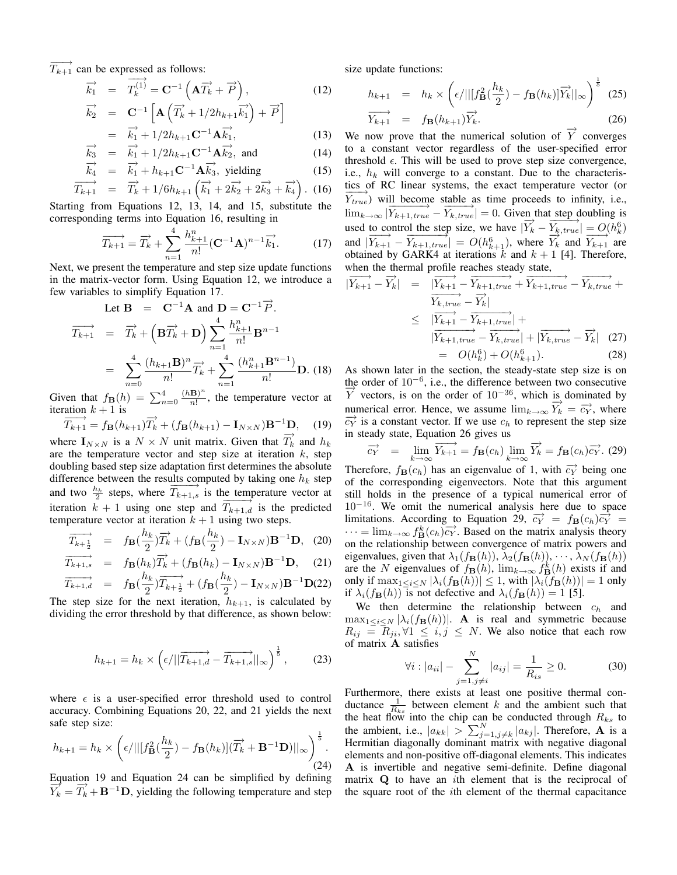$\overrightarrow{T_{k+1}}$  can be expressed as follows:

$$
\overrightarrow{k_1} = \overrightarrow{T_k^{(1)}} = \mathbf{C}^{-1} \left( \mathbf{A} \overrightarrow{T_k} + \overrightarrow{P} \right), \tag{12}
$$

$$
\overrightarrow{k_2} = \mathbf{C}^{-1} \left[ \mathbf{A} \left( \overrightarrow{T_k} + 1/2 h_{k+1} \overrightarrow{k_1} \right) + \overrightarrow{P} \right]
$$
  
=  $\overrightarrow{k_1} + 1/2 h_{k+1} \mathbf{C}^{-1} \mathbf{A} \overrightarrow{k_1},$  (13)

$$
\overrightarrow{k_3} = \overrightarrow{k_1} + 1/2h_{k+1}\mathbf{C}^{-1}\mathbf{A}\overrightarrow{k_2}, \text{ and } (14)
$$

$$
\overrightarrow{k_4} = \overrightarrow{k_1} + h_{k+1} \mathbf{C}^{-1} \mathbf{A} \overrightarrow{k_3}, \text{ yielding} \qquad (15)
$$

$$
\overrightarrow{T_{k+1}} = \overrightarrow{T_k} + 1/6h_{k+1} \left( \overrightarrow{k_1} + 2\overrightarrow{k_2} + 2\overrightarrow{k_3} + \overrightarrow{k_4} \right). (16)
$$

Starting from Equations 12, 13, 14, and 15, substitute the corresponding terms into Equation 16, resulting in

$$
\overrightarrow{T_{k+1}} = \overrightarrow{T_k} + \sum_{n=1}^{4} \frac{h_{k+1}^n}{n!} (\mathbf{C}^{-1} \mathbf{A})^{n-1} \overrightarrow{k_1}.
$$
 (17)

Next, we present the temperature and step size update functions in the matrix-vector form. Using Equation 12, we introduce a few variables to simplify Equation 17.

Let 
$$
\mathbf{B} = \mathbf{C}^{-1} \mathbf{A}
$$
 and  $\mathbf{D} = \mathbf{C}^{-1} \overrightarrow{P}$ .  
\n
$$
\overrightarrow{T_{k+1}} = \overrightarrow{T_k} + (\mathbf{B} \overrightarrow{T_k} + \mathbf{D}) \sum_{n=1}^{4} \frac{h_{k+1}^n}{n!} \mathbf{B}^{n-1}
$$
\n
$$
= \sum_{n=0}^{4} \frac{(h_{k+1} \mathbf{B})^n}{n!} \overrightarrow{T_k} + \sum_{n=1}^{4} \frac{(h_{k+1}^n \mathbf{B}^{n-1})}{n!} \mathbf{D}. \text{ (18)}
$$

Given that  $f_{\mathbf{B}}(h) = \sum_{n=0}^{4} \frac{(h\mathbf{B})^n}{n!}$  $\frac{B}{n!}$ , the temperature vector at iteration  $k + 1$  is

$$
\overrightarrow{T_{k+1}} = f_{\mathbf{B}}(h_{k+1})\overrightarrow{T_k} + (f_{\mathbf{B}}(h_{k+1}) - \mathbf{I}_{N \times N})\mathbf{B}^{-1}\mathbf{D}, \quad (19)
$$

where  $\mathbf{I}_{N \times N}$  is a  $N \times N$  unit matrix. Given that  $\overrightarrow{T_k}$  and  $h_k$ are the temperature vector and step size at iteration  $k$ , step doubling based step size adaptation first determines the absolute difference between the results computed by taking one  $h_k$  step and two  $\frac{h_k}{2}$  steps, where  $\overline{T_{k+1,s}}$  is the temperature vector at iteration  $k + 1$  using one step and  $\overrightarrow{T_{k+1,d}}$  is the predicted temperature vector at iteration  $k + 1$  using two steps.

$$
\overrightarrow{T_{k+\frac{1}{2}}} = f_{\mathbf{B}}(\frac{h_k}{2})\overrightarrow{T_k} + (f_{\mathbf{B}}(\frac{h_k}{2}) - \mathbf{I}_{N \times N})\mathbf{B}^{-1}\mathbf{D}, \quad (20)
$$

$$
\overrightarrow{T_{k+1,s}} = f_{\mathbf{B}}(h_k)\overrightarrow{T_k} + (f_{\mathbf{B}}(h_k) - \mathbf{I}_{N \times N})\mathbf{B}^{-1}\mathbf{D}, \quad (21)
$$

$$
\overrightarrow{T_{k+1,d}} = f_{\mathbf{B}}(\frac{h_k}{2}) \overrightarrow{T_{k+\frac{1}{2}}} + (f_{\mathbf{B}}(\frac{h_k}{2}) - \mathbf{I}_{N \times N}) \mathbf{B}^{-1} \mathbf{D}(22)
$$

The step size for the next iteration,  $h_{k+1}$ , is calculated by dividing the error threshold by that difference, as shown below:

$$
h_{k+1} = h_k \times \left(\epsilon/||\overrightarrow{T_{k+1,d}} - \overrightarrow{T_{k+1,s}}||_{\infty}\right)^{\frac{1}{5}},\qquad(23)
$$

where  $\epsilon$  is a user-specified error threshold used to control accuracy. Combining Equations 20, 22, and 21 yields the next safe step size:

$$
h_{k+1} = h_k \times \left( \epsilon / ||[f_{\mathbf{B}}^2(\frac{h_k}{2}) - f_{\mathbf{B}}(h_k)](\overrightarrow{T_k} + \mathbf{B}^{-1}\mathbf{D})||_{\infty} \right)_{(24)}^{\frac{1}{5}}.
$$

Equation 19 and Equation 24 can be simplified by defining  $\overrightarrow{Y}_k = \overrightarrow{T}_k + \mathbf{B}^{-1}\mathbf{D}$ , yielding the following temperature and step

size update functions:

$$
h_{k+1} = h_k \times \left( \epsilon / ||[f_{\mathbf{B}}^2(\frac{h_k}{2}) - f_{\mathbf{B}}(h_k)] \overrightarrow{Y_k}||_{\infty} \right)^{\frac{1}{5}} \tag{25}
$$

$$
\overrightarrow{Y_{k+1}} = f_{\mathbf{B}}(h_{k+1}) \overrightarrow{Y_k}.
$$
 (26)

We now prove that the numerical solution of  $\overrightarrow{Y}$  converges to a constant vector regardless of the user-specified error threshold  $\epsilon$ . This will be used to prove step size convergence, i.e.,  $h_k$  will converge to a constant. Due to the characteristics of RC linear systems, the exact temperature vector (or  $\overrightarrow{Y_{true}}$ ) will become stable as time proceeds to infinity, i.e.,  $\lim_{k\to\infty} \frac{1}{|Y_{k+1,true} - Y_{k,true}|} = 0$ . Given that step doubling is used to control the step size, we have  $|\overrightarrow{Y}_k - \overrightarrow{Y}_{k, true}| = O(h_k^6)$ and  $|\overrightarrow{Y}_{k+1} - \overrightarrow{Y}_{k+1,true}| = O(h_{k+1}^6)$ , where  $\overrightarrow{Y}_k^{\text{true}}$  and  $\overrightarrow{Y}_{k+1}^{\text{true}}$  are obtained by GARK4 at iterations  $k$  and  $k + 1$  [4]. Therefore, when the thermal profile reaches steady state,

$$
|\overrightarrow{Y_{k+1}} - \overrightarrow{Y_k}| = \frac{|\overrightarrow{Y_{k+1}} - \overrightarrow{Y_{k+1,true}} + \overrightarrow{Y_{k+1,true}} - \overrightarrow{Y_{k,true}} + \overrightarrow{Y_{k,true}} + \overrightarrow{Y_{k+1-}\overrightarrow{Y_k}}|}{|\overrightarrow{Y_{k+1}} - \overrightarrow{Y_{k+1,true}}| + |\overrightarrow{Y_{k,true}} - \overrightarrow{Y_k}|} \quad (27)
$$
  
=  $O(h_k^6) + O(h_{k+1}^6)$ . (28)

As shown later in the section, the steady-state step size is on the order of  $10^{-6}$ , i.e., the difference between two consecutive  $\overrightarrow{Y}$  vectors, is on the order of 10<sup>-36</sup>, which is dominated by numerical error. Hence, we assume  $\lim_{k\to\infty} \overline{Y}_k = \overline{c}_Y$ , where  $\overrightarrow{c_Y}$  is a constant vector. If we use  $c_h$  to represent the step size in steady state, Equation 26 gives us

$$
\overrightarrow{c_Y} = \lim_{k \to \infty} \overrightarrow{Y_{k+1}} = f_{\mathbf{B}}(c_h) \lim_{k \to \infty} \overrightarrow{Y_k} = f_{\mathbf{B}}(c_h) \overrightarrow{c_Y}.
$$
 (29)

Therefore,  $f_{\mathbf{B}}(c_h)$  has an eigenvalue of 1, with  $\overrightarrow{cy}$  being one of the corresponding eigenvectors. Note that this argument still holds in the presence of a typical numerical error of  $10^{-16}$ . We omit the numerical analysis here due to space limitations. According to Equation 29,  $\overrightarrow{c_Y} = f_B(c_h) \overrightarrow{c_Y} =$  $\dots = \lim_{k \to \infty} f^k(\mathcal{C}_h) \overline{c_Y}$ . Based on the matrix analysis theory on the relationship between convergence of matrix powers and eigenvalues, given that  $\lambda_1(f_{\mathbf{B}}(h)), \lambda_2(f_{\mathbf{B}}(h)), \cdots, \lambda_N(f_{\mathbf{B}}(h))$ are the N eigenvalues of  $f_{\mathbf{B}}(h)$ ,  $\lim_{k\to\infty} f_{\mathbf{B}}^k(h)$  exists if and only if  $\max_{1 \leq i \leq N} |\lambda_i(f_{\mathbf{B}}(h))| \leq 1$ , with  $|\lambda_i(f_{\mathbf{B}}(h))| = 1$  only if  $\lambda_i(f_{\mathbf{B}}(h))$  is not defective and  $\lambda_i(f_{\mathbf{B}}(h)) = 1$  [5].

We then determine the relationship between  $c_h$  and  $\max_{1 \leq i \leq N} |\lambda_i(f_{\mathbf{B}}(h))|$ . **A** is real and symmetric because  $R_{ij} = \overline{R_{ji}}$ ,  $\forall 1 \leq i, j \leq N$ . We also notice that each row of matrix A satisfies

$$
\forall i : |a_{ii}| - \sum_{j=1, j \neq i}^{N} |a_{ij}| = \frac{1}{R_{is}} \ge 0.
$$
 (30)

Furthermore, there exists at least one positive thermal conductance  $\frac{1}{R_{ks}}$  between element k and the ambient such that the heat flow into the chip can be conducted through  $R_{ks}$  to the ambient, i.e.,  $|a_{kk}| > \sum_{j=1, j\neq k}^{N} |a_{kj}|$ . Therefore, **A** is a Hermitian diagonally dominant matrix with negative diagonal elements and non-positive off-diagonal elements. This indicates A is invertible and negative semi-definite. Define diagonal matrix  $Q$  to have an *i*th element that is the reciprocal of the square root of the ith element of the thermal capacitance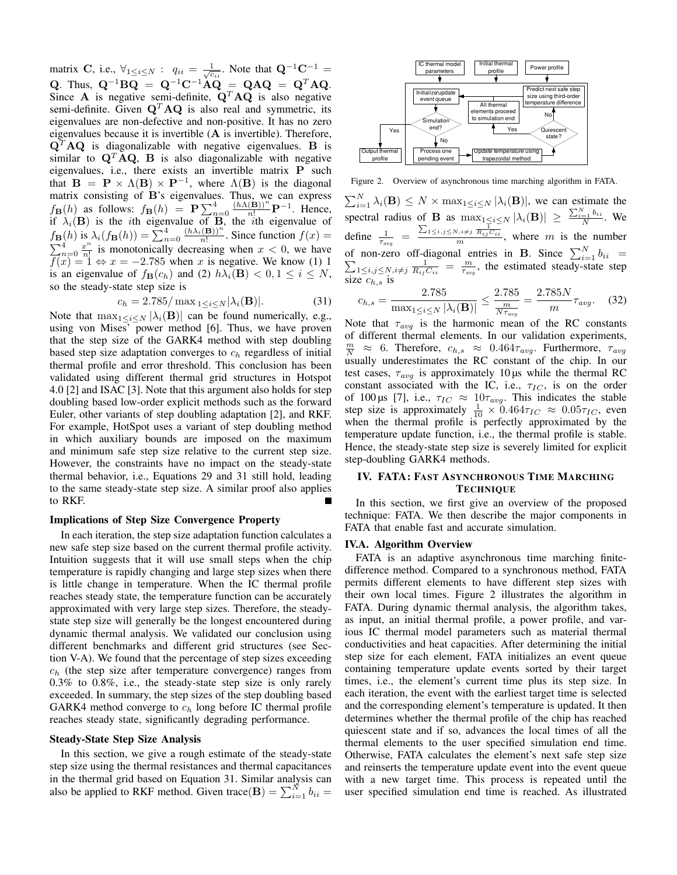matrix C, i.e.,  $\forall_{1 \leq i \leq N}$ :  $q_{ii} = \frac{1}{\sqrt{c_{ii}}}$ . Note that  $\mathbf{Q}^{-1}\mathbf{C}^{-1} =$ Q. Thus,  $Q^{-1}BQ = Q^{-1}C^{-1}AQ = QAQ = Q^TAQ$ . Since A is negative semi-definite,  $Q^T A Q$  is also negative semi-definite. Given  $\mathbf{Q}^T \mathbf{A} \mathbf{Q}$  is also real and symmetric, its eigenvalues are non-defective and non-positive. It has no zero eigenvalues because it is invertible (A is invertible). Therefore,  ${\bf Q}^T {\bf A} {\bf Q}$  is diagonalizable with negative eigenvalues. B is similar to  $\mathbf{Q}^T \mathbf{A} \mathbf{Q}$ , **B** is also diagonalizable with negative eigenvalues, i.e., there exists an invertible matrix P such that  $B = P \times \Lambda(B) \times P^{-1}$ , where  $\Lambda(B)$  is the diagonal matrix consisting of B's eigenvalues. Thus, we can express  $f_{\mathbf{B}}(h)$  as follows:  $f_{\mathbf{B}}(h) = \mathbf{P} \sum_{n=0}^{4} \frac{(h\Lambda(\mathbf{B}))^n}{n!} \mathbf{P}^{-1}$ . Hence, if  $\lambda_i(B)$  is the *i*th eigenvalue of B, the *i*th eigenvalue of  $f_{\mathbf{B}}(h)$  is  $\lambda_i(f_{\mathbf{B}}(h)) = \sum_{n=0}^4 \frac{(h\lambda_i(\mathbf{B}))^n}{n!}$ . Since function  $f(x) =$  $\sum_{n=0}^4 \frac{x^n}{n!}$  $\frac{x^n}{n!}$  is monotonically decreasing when  $x < 0$ , we have  $f(x) = 1 \Leftrightarrow x = -2.785$  when x is negative. We know (1) 1 is an eigenvalue of  $f_{\mathbf{B}}(c_h)$  and (2)  $h\lambda_i(\mathbf{B}) < 0, 1 \le i \le N$ , so the steady-state step size is

$$
c_h = 2.785/\max_{1 \le i \le N} |\lambda_i(\mathbf{B})|.
$$
 (31)

Note that  $\max_{1 \leq i \leq N} |\lambda_i(\mathbf{B})|$  can be found numerically, e.g., using von Mises' power method [6]. Thus, we have proven that the step size of the GARK4 method with step doubling based step size adaptation converges to  $c_h$  regardless of initial thermal profile and error threshold. This conclusion has been validated using different thermal grid structures in Hotspot 4.0 [2] and ISAC [3]. Note that this argument also holds for step doubling based low-order explicit methods such as the forward Euler, other variants of step doubling adaptation [2], and RKF. For example, HotSpot uses a variant of step doubling method in which auxiliary bounds are imposed on the maximum and minimum safe step size relative to the current step size. However, the constraints have no impact on the steady-state thermal behavior, i.e., Equations 29 and 31 still hold, leading to the same steady-state step size. A similar proof also applies to RKF.

#### Implications of Step Size Convergence Property

In each iteration, the step size adaptation function calculates a new safe step size based on the current thermal profile activity. Intuition suggests that it will use small steps when the chip temperature is rapidly changing and large step sizes when there is little change in temperature. When the IC thermal profile reaches steady state, the temperature function can be accurately approximated with very large step sizes. Therefore, the steadystate step size will generally be the longest encountered during dynamic thermal analysis. We validated our conclusion using different benchmarks and different grid structures (see Section V-A). We found that the percentage of step sizes exceeding  $c<sub>b</sub>$  (the step size after temperature convergence) ranges from 0.3% to 0.8%, i.e., the steady-state step size is only rarely exceeded. In summary, the step sizes of the step doubling based GARK4 method converge to  $c_h$  long before IC thermal profile reaches steady state, significantly degrading performance.

## Steady-State Step Size Analysis

In this section, we give a rough estimate of the steady-state step size using the thermal resistances and thermal capacitances in the thermal grid based on Equation 31. Similar analysis can also be applied to RKF method. Given trace(B) =  $\sum_{i=1}^{N} b_{ii}$  =



Figure 2. Overview of asynchronous time marching algorithm in FATA.  $\sum_{i=1}^{N} \lambda_i(\mathbf{B}) \leq N \times \max_{1 \leq i \leq N} |\lambda_i(\mathbf{B})|$ , we can estimate the spectral radius of **B** as  $\max_{1 \le i \le N} |\lambda_i(\mathbf{B})| \ge \frac{\sum_{i=1}^N b_{ii}}{N}$ . We define  $\frac{1}{\tau_{avg}} = \frac{\sum_{1 \le i,j \le N, i \ne j} \frac{1}{R_{ij}C_{ii}}}{m}$ , where *m* is the number of non-zero off-diagonal entries in **B**. Since  $\sum_{i=1}^{N}$ <br> $\sum_{1 \le i, i \le N} \sum_{i=1}^{N} \frac{1}{R_i \cdot C_i} = \frac{m}{\pi}$ , the estimated steady-sta  $b_{ii}$  =  $1 \le i,j \le N, i \ne j$   $\frac{1}{R_{ij}C_{ii}} = \frac{m}{\tau_{avg}}$ , the estimated steady-state step size  $c_{h,s}$  is

$$
c_{h,s} = \frac{2.785}{\max_{1 \le i \le N} |\lambda_i(\mathbf{B})|} \le \frac{2.785}{\frac{m}{N\tau_{avg}}} = \frac{2.785N}{m} \tau_{avg}.
$$
 (32)

Note that  $\tau_{avg}$  is the harmonic mean of the RC constants of different thermal elements. In our validation experiments,  $\frac{m}{N} \approx 6$ . Therefore,  $c_{h,s} \approx 0.464 \tau_{avg}$ . Furthermore,  $\tau_{avg}$ usually underestimates the RC constant of the chip. In our test cases,  $\tau_{avg}$  is approximately 10 µs while the thermal RC constant associated with the IC, i.e.,  $\tau_{IC}$ , is on the order of 100 µs [7], i.e.,  $\tau_{IC} \approx 10 \tau_{avg}$ . This indicates the stable step size is approximately  $\frac{1}{10} \times 0.464 \tau_{IC} \approx 0.05 \tau_{IC}$ , even when the thermal profile is perfectly approximated by the temperature update function, i.e., the thermal profile is stable. Hence, the steady-state step size is severely limited for explicit step-doubling GARK4 methods.

# IV. FATA: FAST ASYNCHRONOUS TIME MARCHING **TECHNIQUE**

In this section, we first give an overview of the proposed technique: FATA. We then describe the major components in FATA that enable fast and accurate simulation.

## IV.A. Algorithm Overview

FATA is an adaptive asynchronous time marching finitedifference method. Compared to a synchronous method, FATA permits different elements to have different step sizes with their own local times. Figure 2 illustrates the algorithm in FATA. During dynamic thermal analysis, the algorithm takes, as input, an initial thermal profile, a power profile, and various IC thermal model parameters such as material thermal conductivities and heat capacities. After determining the initial step size for each element, FATA initializes an event queue containing temperature update events sorted by their target times, i.e., the element's current time plus its step size. In each iteration, the event with the earliest target time is selected and the corresponding element's temperature is updated. It then determines whether the thermal profile of the chip has reached quiescent state and if so, advances the local times of all the thermal elements to the user specified simulation end time. Otherwise, FATA calculates the element's next safe step size and reinserts the temperature update event into the event queue with a new target time. This process is repeated until the user specified simulation end time is reached. As illustrated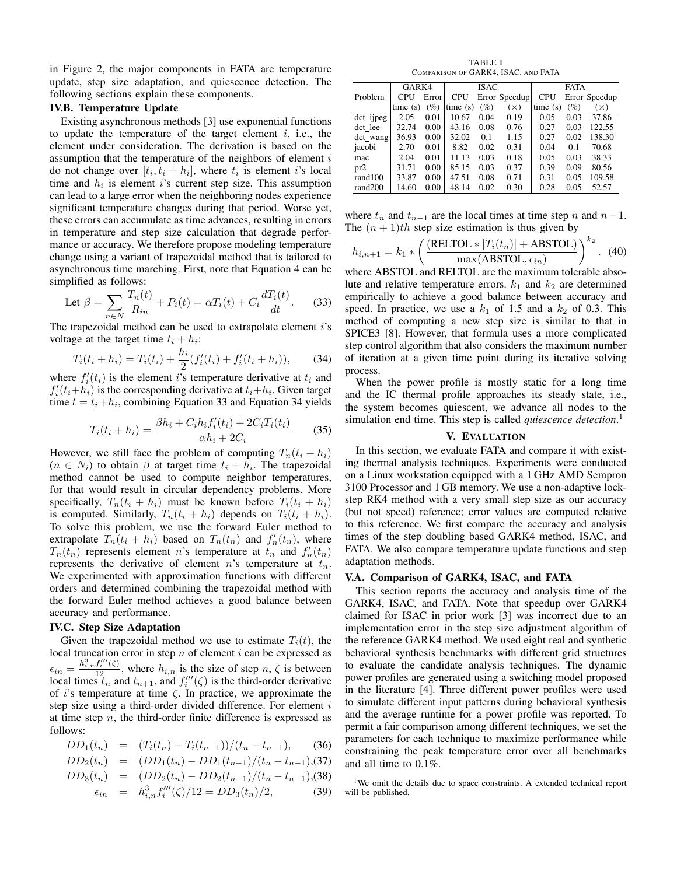in Figure 2, the major components in FATA are temperature update, step size adaptation, and quiescence detection. The following sections explain these components.

# IV.B. Temperature Update

Existing asynchronous methods [3] use exponential functions to update the temperature of the target element  $i$ , i.e., the element under consideration. The derivation is based on the assumption that the temperature of the neighbors of element  $i$ do not change over  $[t_i, t_i + h_i]$ , where  $t_i$  is element i's local time and  $h_i$  is element *i*'s current step size. This assumption can lead to a large error when the neighboring nodes experience significant temperature changes during that period. Worse yet, these errors can accumulate as time advances, resulting in errors in temperature and step size calculation that degrade performance or accuracy. We therefore propose modeling temperature change using a variant of trapezoidal method that is tailored to asynchronous time marching. First, note that Equation 4 can be simplified as follows:

$$
\text{Let } \beta = \sum_{n \in \mathbb{N}} \frac{T_n(t)}{R_{in}} + P_i(t) = \alpha T_i(t) + C_i \frac{dT_i(t)}{dt}.
$$
 (33)

The trapezoidal method can be used to extrapolate element  $i$ 's voltage at the target time  $t_i + h_i$ :

$$
T_i(t_i + h_i) = T_i(t_i) + \frac{h_i}{2} (f'_i(t_i) + f'_i(t_i + h_i)), \qquad (34)
$$

where  $f_i'(t_i)$  is the element i's temperature derivative at  $t_i$  and  $f_i'(t_i+h_i)$  is the corresponding derivative at  $t_i+h_i$ . Given target time  $t = t_i + h_i$ , combining Equation 33 and Equation 34 yields

$$
T_i(t_i + h_i) = \frac{\beta h_i + C_i h_i f'_i(t_i) + 2C_i T_i(t_i)}{\alpha h_i + 2C_i}
$$
 (35)

However, we still face the problem of computing  $T_n(t_i + h_i)$  $(n \in N_i)$  to obtain  $\beta$  at target time  $t_i + h_i$ . The trapezoidal method cannot be used to compute neighbor temperatures, for that would result in circular dependency problems. More specifically,  $T_n(t_i + h_i)$  must be known before  $T_i(t_i + h_i)$ is computed. Similarly,  $T_n(t_i + h_i)$  depends on  $T_i(t_i + h_i)$ . To solve this problem, we use the forward Euler method to extrapolate  $T_n(t_i + h_i)$  based on  $T_n(t_n)$  and  $f'_n(t_n)$ , where  $T_n(t_n)$  represents element *n*'s temperature at  $t_n$  and  $f'_n(t_n)$ represents the derivative of element  $n$ 's temperature at  $t_n$ . We experimented with approximation functions with different orders and determined combining the trapezoidal method with the forward Euler method achieves a good balance between accuracy and performance.

## IV.C. Step Size Adaptation

Given the trapezoidal method we use to estimate  $T_i(t)$ , the local truncation error in step  $n$  of element  $i$  can be expressed as  $\epsilon_{in} = \frac{h_{i,n}^3 f_i''(\zeta)}{12}$ , where  $h_{i,n}$  is the size of step  $n, \zeta$  is between local times  $t_n$  and  $t_{n+1}$ , and  $f_i'''(\zeta)$  is the third-order derivative of *i*'s temperature at time  $\zeta$ . In practice, we approximate the step size using a third-order divided difference. For element  $i$ at time step  $n$ , the third-order finite difference is expressed as follows:

$$
DD_1(t_n) = (T_i(t_n) - T_i(t_{n-1}))/(t_n - t_{n-1}), \qquad (36)
$$

$$
DD_2(t_n) = (DD_1(t_n) - DD_1(t_{n-1})/(t_n - t_{n-1}), (37)
$$

$$
DD_3(t_n) = (DD_2(t_n) - DD_2(t_{n-1})/(t_n - t_{n-1}), (38)
$$

$$
\epsilon_{in} = h_{i,n}^3 f_i'''(\zeta)/12 = DD_3(t_n)/2, \tag{39}
$$

TABLE I COMPARISON OF GARK4, ISAC, AND FATA

|             | GARK4   |       |            | <b>ISAC</b>     |               | <b>FATA</b> |                 |               |  |
|-------------|---------|-------|------------|-----------------|---------------|-------------|-----------------|---------------|--|
| Problem     | CPU     | Error | <b>CPU</b> |                 | Error Speedup | CPU         |                 | Error Speedup |  |
|             | time(s) | (%)   | time(s)    | $\mathscr{D}_o$ | $(\times)$    | time(s)     | $\mathscr{D}_o$ | $\mathsf{X}$  |  |
| dct ijpeg   | 2.05    | 0.01  | 10.67      | 0.04            | 0.19          | 0.05        | 0.03            | 37.86         |  |
| dct lee     | 32.74   | 0.00  | 43.16      | 0.08            | 0.76          | 0.27        | 0.03            | 122.55        |  |
| $\det$ wang | 36.93   | 0.00  | 32.02      | 0.1             | 1.15          | 0.27        | 0.02            | 138.30        |  |
| jacobi      | 2.70    | 0.01  | 8.82       | 0.02            | 0.31          | 0.04        | 0.1             | 70.68         |  |
| mac         | 2.04    | 0.01  | 11.13      | 0.03            | 0.18          | 0.05        | 0.03            | 38.33         |  |
| pr2         | 31.71   | 0.00  | 85.15      | 0.03            | 0.37          | 0.39        | 0.09            | 80.56         |  |
| rand100     | 33.87   | 0.00  | 47.51      | 0.08            | 0.71          | 0.31        | 0.05            | 109.58        |  |
| rand200     | 14.60   | 0.00  | 48.14      | 0.02            | 0.30          | 0.28        | 0.05            | 52.57         |  |

where  $t_n$  and  $t_{n-1}$  are the local times at time step n and  $n-1$ . The  $(n + 1)$ th step size estimation is thus given by

$$
h_{i,n+1} = k_1 * \left(\frac{\text{(RELTOL} * |T_i(t_n)| + \text{ABSTOL})}{\max(\text{ABSTOL}, \epsilon_{in})}\right)^{k_2}.
$$
 (40)

where ABSTOL and RELTOL are the maximum tolerable absolute and relative temperature errors.  $k_1$  and  $k_2$  are determined empirically to achieve a good balance between accuracy and speed. In practice, we use a  $k_1$  of 1.5 and a  $k_2$  of 0.3. This method of computing a new step size is similar to that in SPICE3 [8]. However, that formula uses a more complicated step control algorithm that also considers the maximum number of iteration at a given time point during its iterative solving process.

When the power profile is mostly static for a long time and the IC thermal profile approaches its steady state, i.e., the system becomes quiescent, we advance all nodes to the simulation end time. This step is called *quiescence detection*. 1

## V. EVALUATION

In this section, we evaluate FATA and compare it with existing thermal analysis techniques. Experiments were conducted on a Linux workstation equipped with a 1 GHz AMD Sempron 3100 Processor and 1 GB memory. We use a non-adaptive lockstep RK4 method with a very small step size as our accuracy (but not speed) reference; error values are computed relative to this reference. We first compare the accuracy and analysis times of the step doubling based GARK4 method, ISAC, and FATA. We also compare temperature update functions and step adaptation methods.

## V.A. Comparison of GARK4, ISAC, and FATA

This section reports the accuracy and analysis time of the GARK4, ISAC, and FATA. Note that speedup over GARK4 claimed for ISAC in prior work [3] was incorrect due to an implementation error in the step size adjustment algorithm of the reference GARK4 method. We used eight real and synthetic behavioral synthesis benchmarks with different grid structures to evaluate the candidate analysis techniques. The dynamic power profiles are generated using a switching model proposed in the literature [4]. Three different power profiles were used to simulate different input patterns during behavioral synthesis and the average runtime for a power profile was reported. To permit a fair comparison among different techniques, we set the parameters for each technique to maximize performance while constraining the peak temperature error over all benchmarks and all time to 0.1%.

<sup>1</sup>We omit the details due to space constraints. A extended technical report will be published.